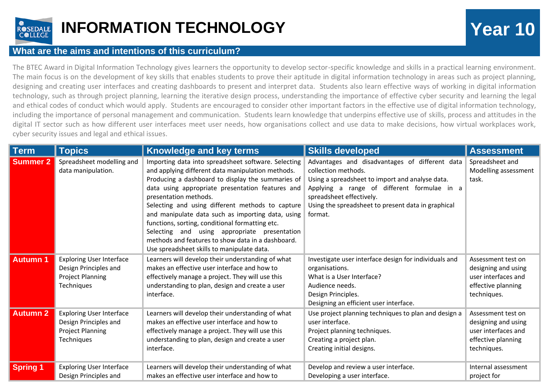

## **INFORMATION TECHNOLOGY Year 10**

## **What are the aims and intentions of this curriculum?**

The BTEC Award in Digital Information Technology gives learners the opportunity to develop sector-specific knowledge and skills in a practical learning environment. The main focus is on the development of key skills that enables students to prove their aptitude in digital information technology in areas such as project planning, designing and creating user interfaces and creating dashboards to present and interpret data. Students also learn effective ways of working in digital information technology, such as through project planning, learning the iterative design process, understanding the importance of effective cyber security and learning the legal and ethical codes of conduct which would apply. Students are encouraged to consider other important factors in the effective use of digital information technology, including the importance of personal management and communication. Students learn knowledge that underpins effective use of skills, process and attitudes in the digital IT sector such as how different user interfaces meet user needs, how organisations collect and use data to make decisions, how virtual workplaces work, cyber security issues and legal and ethical issues.

| <b>Term</b>     | <b>Topics</b>                                                                                     | Knowledge and key terms                                                                                                                                                                                                                                                                                                                                                                                                                                                                                                                                   | <b>Skills developed</b>                                                                                                                                                                                                                                              | <b>Assessment</b>                                                                                     |
|-----------------|---------------------------------------------------------------------------------------------------|-----------------------------------------------------------------------------------------------------------------------------------------------------------------------------------------------------------------------------------------------------------------------------------------------------------------------------------------------------------------------------------------------------------------------------------------------------------------------------------------------------------------------------------------------------------|----------------------------------------------------------------------------------------------------------------------------------------------------------------------------------------------------------------------------------------------------------------------|-------------------------------------------------------------------------------------------------------|
| <b>Summer 2</b> | Spreadsheet modelling and<br>data manipulation.                                                   | Importing data into spreadsheet software. Selecting<br>and applying different data manipulation methods.<br>Producing a dashboard to display the summaries of<br>data using appropriate presentation features and<br>presentation methods.<br>Selecting and using different methods to capture<br>and manipulate data such as importing data, using<br>functions, sorting, conditional formatting etc.<br>Selecting and using appropriate presentation<br>methods and features to show data in a dashboard.<br>Use spreadsheet skills to manipulate data. | Advantages and disadvantages of different data<br>collection methods.<br>Using a spreadsheet to import and analyse data.<br>Applying a range of different formulae in a<br>spreadsheet effectively.<br>Using the spreadsheet to present data in graphical<br>format. | Spreadsheet and<br>Modelling assessment<br>task.                                                      |
| <b>Autumn 1</b> | <b>Exploring User Interface</b><br>Design Principles and<br><b>Project Planning</b><br>Techniques | Learners will develop their understanding of what<br>makes an effective user interface and how to<br>effectively manage a project. They will use this<br>understanding to plan, design and create a user<br>interface.                                                                                                                                                                                                                                                                                                                                    | Investigate user interface design for individuals and<br>organisations.<br>What is a User Interface?<br>Audience needs.<br>Design Principles.<br>Designing an efficient user interface.                                                                              | Assessment test on<br>designing and using<br>user interfaces and<br>effective planning<br>techniques. |
| <b>Autumn 2</b> | <b>Exploring User Interface</b><br>Design Principles and<br><b>Project Planning</b><br>Techniques | Learners will develop their understanding of what<br>makes an effective user interface and how to<br>effectively manage a project. They will use this<br>understanding to plan, design and create a user<br>interface.                                                                                                                                                                                                                                                                                                                                    | Use project planning techniques to plan and design a<br>user interface.<br>Project planning techniques.<br>Creating a project plan.<br>Creating initial designs.                                                                                                     | Assessment test on<br>designing and using<br>user interfaces and<br>effective planning<br>techniques. |
| <b>Spring 1</b> | <b>Exploring User Interface</b><br>Design Principles and                                          | Learners will develop their understanding of what<br>makes an effective user interface and how to                                                                                                                                                                                                                                                                                                                                                                                                                                                         | Develop and review a user interface.<br>Developing a user interface.                                                                                                                                                                                                 | Internal assessment<br>project for                                                                    |